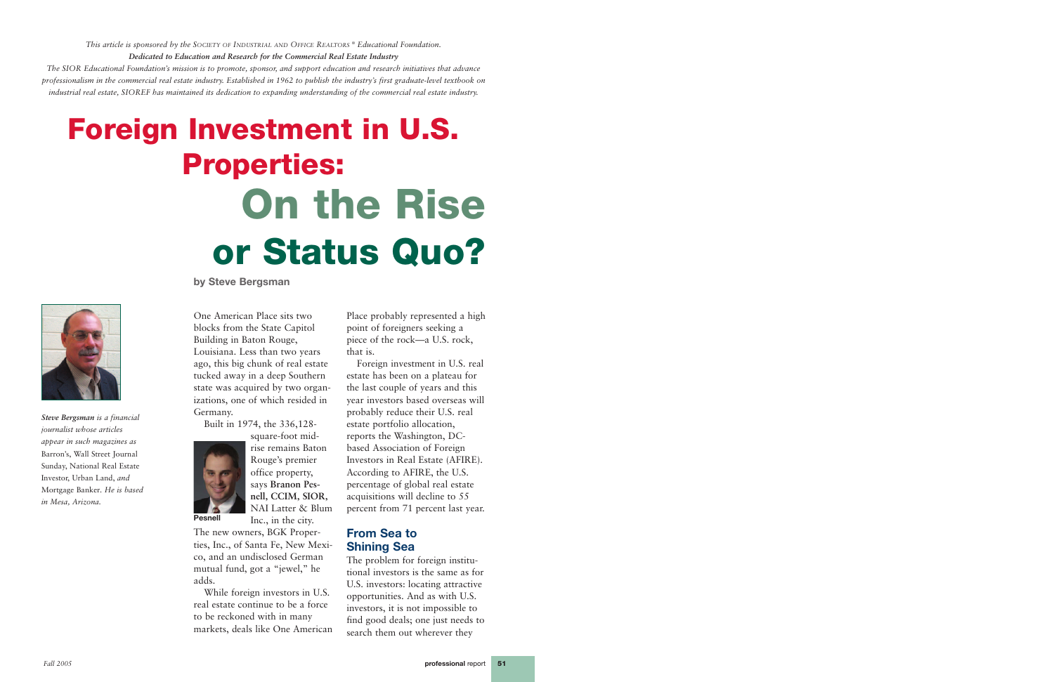**by Steve Bergsman**



One American Place sits two blocks from the State Capitol Building in Baton Rouge, Louisiana. Less than two years ago, this big chunk of real estate tucked away in a deep Southern state was acquired by two organizations, one of which resided in Germany.

Built in 1974, the 336,128-

square-foot midrise remains Baton Rouge's premier office property, says **Branon Pesnell, CCIM, SIOR,**

NAI Latter & Blum Inc., in the city. The new owners, BGK Properties, Inc., of Santa Fe, New Mexico, and an undisclosed German

mutual fund, got a "jewel," he adds.

While foreign investors in U.S. real estate continue to be a force to be reckoned with in many markets, deals like One American

Place probably represented a high point of foreigners seeking a piece of the rock—a U.S. rock, that is.

Foreign investment in U.S. real estate has been on a plateau for the last couple of years and this year investors based overseas will probably reduce their U.S. real estate portfolio allocation, reports the Washington, DCbased Association of Foreign Investors in Real Estate (AFIRE). According to AFIRE, the U.S. percentage of global real estate acquisitions will decline to 55 percent from 71 percent last year.

## **From Sea to Shining Sea**

The problem for foreign institutional investors is the same as for U.S. investors: locating attractive opportunities. And as with U.S. investors, it is not impossible to find good deals; one just needs to search them out wherever they

# **Foreign Investment in U.S. Properties: On the Rise or Status Quo?**

*Steve Bergsman is a financial journalist whose articles appear in such magazines as* Barron's, Wall Street Journal Sunday, National Real Estate Investor, Urban Land, *and* Mortgage Banker*. He is based in Mesa, Arizona.*

*This article is sponsored by the SOCIETY OF INDUSTRIAL AND OFFICE REALTORS ® Educational Foundation. Dedicated to Education and Research for the Commercial Real Estate Industry*

*The SIOR Educational Foundation's mission is to promote, sponsor, and support education and research initiatives that advance professionalism in the commercial real estate industry. Established in 1962 to publish the industry's first graduate-level textbook on industrial real estate, SIOREF has maintained its dedication to expanding understanding of the commercial real estate industry.*

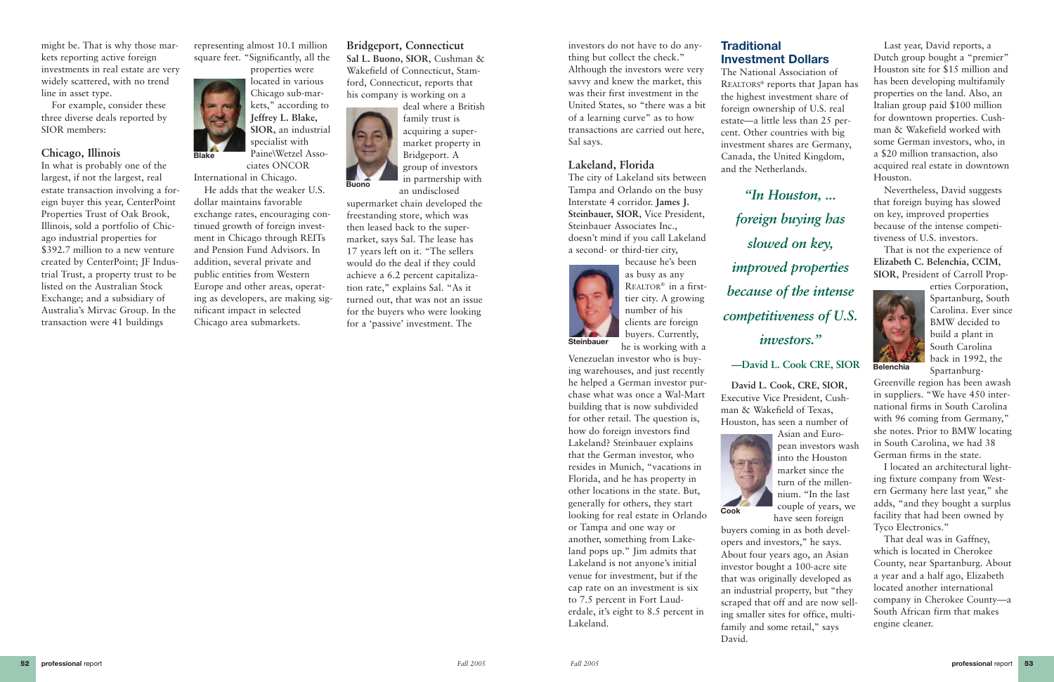investors do not have to do anything but collect the check." Although the investors were very savvy and knew the market, this was their first investment in the United States, so "there was a bit of a learning curve" as to how transactions are carried out here, Sal says.

#### **Lakeland, Florida**

The city of Lakeland sits between Tampa and Orlando on the busy Interstate 4 corridor. **James J. Steinbauer, SIOR,** Vice President, Steinbauer Associates Inc., doesn't mind if you call Lakeland a second- or third-tier city,

> because he's been as busy as any REALTOR® in a firsttier city. A growing number of his clients are foreign buyers. Currently, he is working with a

Venezuelan investor who is buying warehouses, and just recently he helped a German investor purchase what was once a Wal-Mart building that is now subdivided for other retail. The question is,

how do foreign investors find Lakeland? Steinbauer explains that the German investor, who resides in Munich, "vacations in Florida, and he has property in other locations in the state. But,

generally for others, they start looking for real estate in Orlando or Tampa and one way or another, something from Lakeland pops up." Jim admits that Lakeland is not anyone's initial venue for investment, but if the cap rate on an investment is six to 7.5 percent in Fort Lauderdale, it's eight to 8.5 percent in Lakeland.

## **Traditional Investment Dollars**

The National Association of REALTORS® reports that Japan has the highest investment share of foreign ownership of U.S. real estate—a little less than 25 percent. Other countries with big investment shares are Germany, Canada, the United Kingdom, and the Netherlands.

**David L. Cook, CRE, SIOR,** Executive Vice President, Cushman & Wakefield of Texas, Houston, has seen a number of

Asian and European investors wash into the Houston market since the turn of the millennium. "In the last couple of years, we have seen foreign buyers coming in as both developers and investors," he says. About four years ago, an Asian investor bought a 100-acre site that was originally developed as an industrial property, but "they scraped that off and are now selling smaller sites for office, multifamily and some retail," says

David.

Last year, David reports, a Dutch group bought a "premier" Houston site for \$15 million and has been developing multifamily properties on the land. Also, an Italian group paid \$100 million for downtown properties. Cushman & Wakefield worked with some German investors, who, in a \$20 million transaction, also acquired real estate in downtown Houston.

Nevertheless, David suggests that foreign buying has slowed on key, improved properties because of the intense competitiveness of U.S. investors.

That is not the experience of **Elizabeth C. Belenchia, CCIM, SIOR,** President of Carroll Prop-



erties Corporation, Spartanburg, South Carolina. Ever since BMW decided to build a plant in South Carolina back in 1992, the Spartanburg-

Greenville region has been awash in suppliers. "We have 450 international firms in South Carolina with 96 coming from Germany," she notes. Prior to BMW locating in South Carolina, we had 38 German firms in the state.

I located an architectural lighting fixture company from Western Germany here last year," she adds, "and they bought a surplus facility that had been owned by Tyco Electronics."

That deal was in Gaffney, which is located in Cherokee County, near Spartanburg. About a year and a half ago, Elizabeth located another international company in Cherokee County—a South African firm that makes engine cleaner.





**Belenchia**

might be. That is why those markets reporting active foreign investments in real estate are very widely scattered, with no trend line in asset type.

For example, consider these three diverse deals reported by SIOR members:

#### **Chicago, Illinois**

In what is probably one of the largest, if not the largest, real estate transaction involving a foreign buyer this year, CenterPoint Properties Trust of Oak Brook, Illinois, sold a portfolio of Chicago industrial properties for \$392.7 million to a new venture created by CenterPoint; JF Industrial Trust, a property trust to be listed on the Australian Stock Exchange; and a subsidiary of Australia's Mirvac Group. In the transaction were 41 buildings

representing almost 10.1 million square feet. "Significantly, all the

Paine\Wetzel Associates ONCOR International in Chicago.

He adds that the weaker U.S. dollar maintains favorable exchange rates, encouraging continued growth of foreign investment in Chicago through REITs and Pension Fund Advisors. In addition, several private and public entities from Western Europe and other areas, operating as developers, are making significant impact in selected Chicago area submarkets.

## **Bridgeport, Connecticut**

properties were located in various Chicago sub-markets," according to **Jeffrey L. Blake, SIOR,** an industrial specialist with **Blake**

**Sal L. Buono, SIOR,** Cushman & Wakefield of Connecticut, Stamford, Connecticut, reports that his company is working on a

> deal where a British family trust is acquiring a supermarket property in Bridgeport. A group of investors in partnership with an undisclosed

supermarket chain developed the freestanding store, which was then leased back to the supermarket, says Sal. The lease has 17 years left on it. "The sellers would do the deal if they could achieve a 6.2 percent capitalization rate," explains Sal. "As it turned out, that was not an issue for the buyers who were looking for a 'passive' investment. The



*"In Houston, ... foreign buying has slowed on key, improved properties because of the intense competitiveness of U.S. investors."*

**—David L. Cook CRE, SIOR**